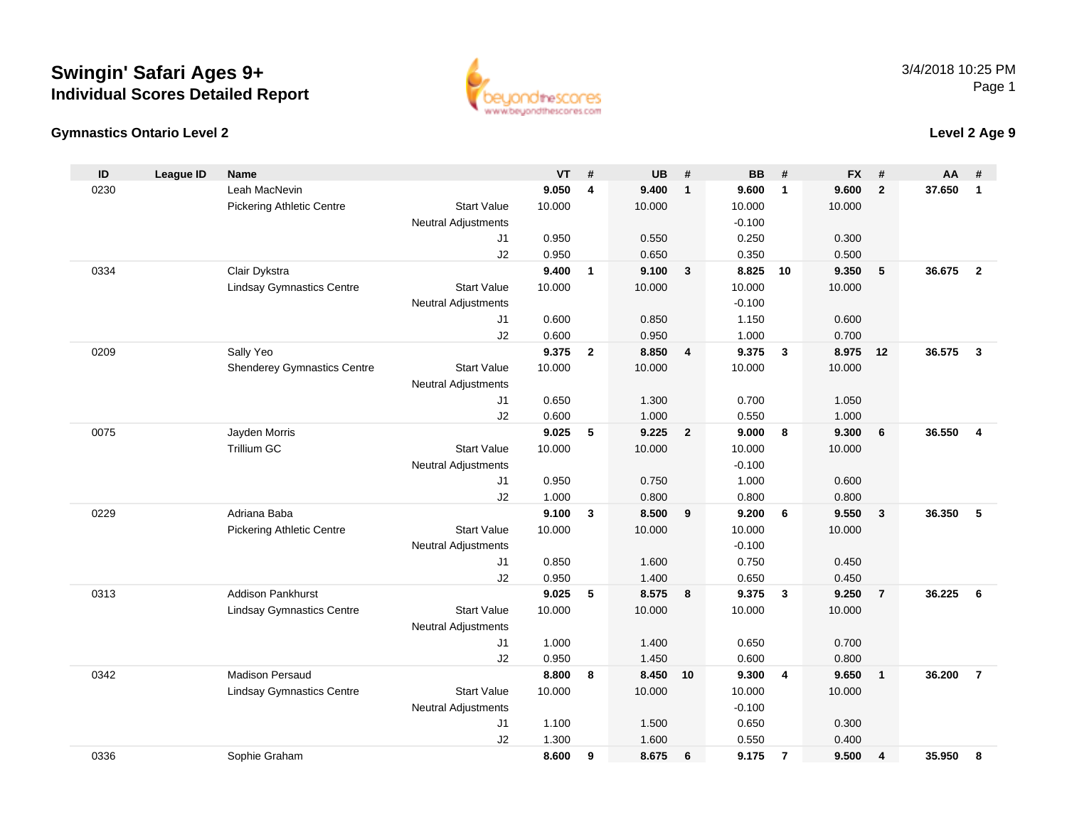



| ID   | League ID | <b>Name</b>                        |                            | <b>VT</b> | #              | <b>UB</b> | #                       | <b>BB</b> | #                       | <b>FX</b> | #              | AA     | #                       |
|------|-----------|------------------------------------|----------------------------|-----------|----------------|-----------|-------------------------|-----------|-------------------------|-----------|----------------|--------|-------------------------|
| 0230 |           | Leah MacNevin                      |                            | 9.050     | 4              | 9.400     | $\mathbf{1}$            | 9.600     | $\overline{1}$          | 9.600     | $\overline{2}$ | 37.650 | $\mathbf{1}$            |
|      |           | <b>Pickering Athletic Centre</b>   | <b>Start Value</b>         | 10.000    |                | 10.000    |                         | 10.000    |                         | 10.000    |                |        |                         |
|      |           |                                    | <b>Neutral Adjustments</b> |           |                |           |                         | $-0.100$  |                         |           |                |        |                         |
|      |           |                                    | J1                         | 0.950     |                | 0.550     |                         | 0.250     |                         | 0.300     |                |        |                         |
|      |           |                                    | J2                         | 0.950     |                | 0.650     |                         | 0.350     |                         | 0.500     |                |        |                         |
| 0334 |           | Clair Dykstra                      |                            | 9.400     | $\mathbf{1}$   | 9.100     | $\mathbf{3}$            | 8.825     | 10                      | 9.350     | 5              | 36.675 | $\overline{2}$          |
|      |           | <b>Lindsay Gymnastics Centre</b>   | <b>Start Value</b>         | 10.000    |                | 10.000    |                         | 10.000    |                         | 10.000    |                |        |                         |
|      |           |                                    | <b>Neutral Adjustments</b> |           |                |           |                         | $-0.100$  |                         |           |                |        |                         |
|      |           |                                    | J <sub>1</sub>             | 0.600     |                | 0.850     |                         | 1.150     |                         | 0.600     |                |        |                         |
|      |           |                                    | J2                         | 0.600     |                | 0.950     |                         | 1.000     |                         | 0.700     |                |        |                         |
| 0209 |           | Sally Yeo                          |                            | 9.375     | $\overline{2}$ | 8.850     | $\overline{\mathbf{4}}$ | 9.375     | $\overline{3}$          | 8.975     | 12             | 36.575 | $\overline{\mathbf{3}}$ |
|      |           | <b>Shenderey Gymnastics Centre</b> | <b>Start Value</b>         | 10.000    |                | 10.000    |                         | 10.000    |                         | 10.000    |                |        |                         |
|      |           |                                    | <b>Neutral Adjustments</b> |           |                |           |                         |           |                         |           |                |        |                         |
|      |           |                                    | J1                         | 0.650     |                | 1.300     |                         | 0.700     |                         | 1.050     |                |        |                         |
|      |           |                                    | J2                         | 0.600     |                | 1.000     |                         | 0.550     |                         | 1.000     |                |        |                         |
| 0075 |           | Jayden Morris                      |                            | 9.025     | 5              | 9.225     | $\overline{2}$          | 9.000     | 8                       | 9.300     | 6              | 36.550 | $\overline{\mathbf{4}}$ |
|      |           | <b>Trillium GC</b>                 | <b>Start Value</b>         | 10.000    |                | 10.000    |                         | 10.000    |                         | 10.000    |                |        |                         |
|      |           |                                    | Neutral Adjustments        |           |                |           |                         | $-0.100$  |                         |           |                |        |                         |
|      |           |                                    | J1                         | 0.950     |                | 0.750     |                         | 1.000     |                         | 0.600     |                |        |                         |
|      |           |                                    | J2                         | 1.000     |                | 0.800     |                         | 0.800     |                         | 0.800     |                |        |                         |
| 0229 |           | Adriana Baba                       |                            | 9.100     | 3              | 8.500     | 9                       | 9.200     | 6                       | 9.550     | $\mathbf{3}$   | 36.350 | 5                       |
|      |           | <b>Pickering Athletic Centre</b>   | <b>Start Value</b>         | 10.000    |                | 10.000    |                         | 10.000    |                         | 10.000    |                |        |                         |
|      |           |                                    | <b>Neutral Adjustments</b> |           |                |           |                         | $-0.100$  |                         |           |                |        |                         |
|      |           |                                    | J1                         | 0.850     |                | 1.600     |                         | 0.750     |                         | 0.450     |                |        |                         |
|      |           |                                    | J2                         | 0.950     |                | 1.400     |                         | 0.650     |                         | 0.450     |                |        |                         |
| 0313 |           | <b>Addison Pankhurst</b>           |                            | 9.025     | 5              | 8.575     | 8                       | 9.375     | $\overline{\mathbf{3}}$ | 9.250     | $\overline{7}$ | 36.225 | 6                       |
|      |           | <b>Lindsay Gymnastics Centre</b>   | <b>Start Value</b>         | 10.000    |                | 10.000    |                         | 10.000    |                         | 10.000    |                |        |                         |
|      |           |                                    | <b>Neutral Adjustments</b> |           |                |           |                         |           |                         |           |                |        |                         |
|      |           |                                    | J1                         | 1.000     |                | 1.400     |                         | 0.650     |                         | 0.700     |                |        |                         |
|      |           |                                    | J2                         | 0.950     |                | 1.450     |                         | 0.600     |                         | 0.800     |                |        |                         |
| 0342 |           | Madison Persaud                    |                            | 8.800     | 8              | 8.450 10  |                         | 9.300     | 4                       | 9.650     | $\mathbf{1}$   | 36.200 | $\overline{7}$          |
|      |           | <b>Lindsay Gymnastics Centre</b>   | <b>Start Value</b>         | 10.000    |                | 10.000    |                         | 10.000    |                         | 10.000    |                |        |                         |
|      |           |                                    | <b>Neutral Adjustments</b> |           |                |           |                         | $-0.100$  |                         |           |                |        |                         |
|      |           |                                    | J1                         | 1.100     |                | 1.500     |                         | 0.650     |                         | 0.300     |                |        |                         |
|      |           |                                    | J2                         | 1.300     |                | 1.600     |                         | 0.550     |                         | 0.400     |                |        |                         |
| 0336 |           | Sophie Graham                      |                            | 8.600     | 9              | 8.675     | 6                       | 9.175     | $\overline{7}$          | 9.500     | $\overline{4}$ | 35.950 | 8                       |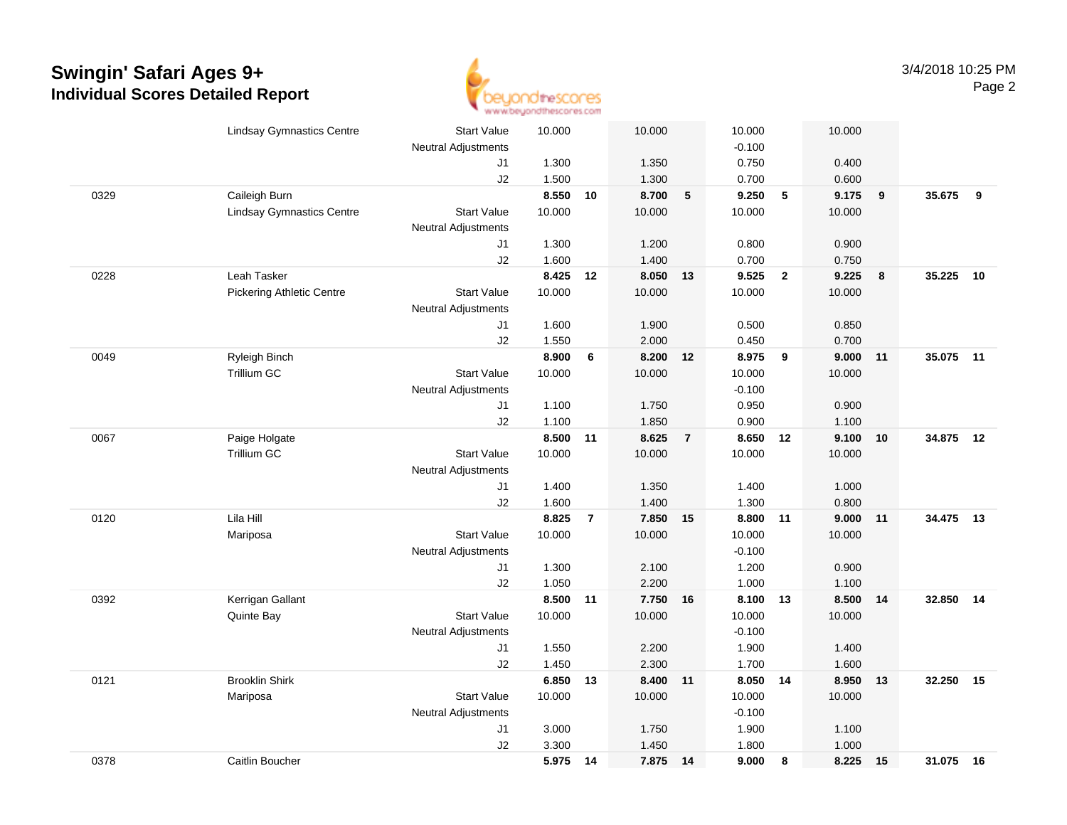

|      | <b>Lindsay Gymnastics Centre</b> | <b>Start Value</b>               | 10.000          |                | 10.000             |                | 10.000          |                | 10.000 |    |           |      |
|------|----------------------------------|----------------------------------|-----------------|----------------|--------------------|----------------|-----------------|----------------|--------|----|-----------|------|
|      |                                  | <b>Neutral Adjustments</b>       |                 |                |                    |                | $-0.100$        |                |        |    |           |      |
|      |                                  | J1                               | 1.300           |                | 1.350              |                | 0.750           |                | 0.400  |    |           |      |
|      |                                  | J2                               | 1.500           |                | 1.300              |                | 0.700           |                | 0.600  |    |           |      |
| 0329 | Caileigh Burn                    |                                  | 8.550           | 10             | 8.700              | $\sqrt{5}$     | 9.250           | 5              | 9.175  | 9  | 35.675    | 9    |
|      | <b>Lindsay Gymnastics Centre</b> | <b>Start Value</b>               | 10.000          |                | 10.000             |                | 10.000          |                | 10.000 |    |           |      |
|      |                                  | <b>Neutral Adjustments</b>       |                 |                |                    |                |                 |                |        |    |           |      |
|      |                                  | J1                               | 1.300           |                | 1.200              |                | 0.800           |                | 0.900  |    |           |      |
|      |                                  | J2                               | 1.600           |                | 1.400              |                | 0.700           |                | 0.750  |    |           |      |
| 0228 | Leah Tasker                      |                                  | 8.425 12        |                | 8.050              | 13             | 9.525           | $\overline{2}$ | 9.225  | 8  | 35.225    | 10   |
|      | <b>Pickering Athletic Centre</b> | <b>Start Value</b>               | 10.000          |                | 10.000             |                | 10.000          |                | 10.000 |    |           |      |
|      |                                  | <b>Neutral Adjustments</b>       |                 |                |                    |                |                 |                |        |    |           |      |
|      |                                  | J1                               | 1.600           |                | 1.900              |                | 0.500           |                | 0.850  |    |           |      |
|      |                                  | J2                               | 1.550           |                | 2.000              |                | 0.450           |                | 0.700  |    |           |      |
| 0049 | Ryleigh Binch                    |                                  | 8.900           | 6              | 8.200              | 12             | 8.975           | 9              | 9.000  | 11 | 35.075 11 |      |
|      | <b>Trillium GC</b>               | <b>Start Value</b>               | 10.000          |                | 10.000             |                | 10.000          |                | 10.000 |    |           |      |
|      |                                  | <b>Neutral Adjustments</b>       |                 |                |                    |                | $-0.100$        |                |        |    |           |      |
|      |                                  | J1                               | 1.100           |                | 1.750              |                | 0.950           |                | 0.900  |    |           |      |
|      |                                  | J2                               | 1.100           |                | 1.850              |                | 0.900           |                | 1.100  |    |           |      |
| 0067 | Paige Holgate                    |                                  | 8.500 11        |                | 8.625              | $\overline{7}$ | 8.650 12        |                | 9.100  | 10 | 34.875    | 12   |
|      | <b>Trillium GC</b>               | <b>Start Value</b>               | 10.000          |                | 10.000             |                | 10.000          |                | 10.000 |    |           |      |
|      |                                  | <b>Neutral Adjustments</b>       |                 |                |                    |                |                 |                |        |    |           |      |
|      |                                  | J1                               | 1.400           |                | 1.350              |                | 1.400           |                | 1.000  |    |           |      |
|      | Lila Hill                        | J2                               | 1.600           |                | 1.400              |                | 1.300           |                | 0.800  |    | 34.475    |      |
| 0120 |                                  | <b>Start Value</b>               | 8.825<br>10.000 | $\overline{7}$ | 7.850 15<br>10.000 |                | 8.800<br>10.000 | 11             | 9.000  | 11 |           | - 13 |
|      | Mariposa                         |                                  |                 |                |                    |                | $-0.100$        |                | 10.000 |    |           |      |
|      |                                  | <b>Neutral Adjustments</b><br>J1 | 1.300           |                | 2.100              |                | 1.200           |                | 0.900  |    |           |      |
|      |                                  | J2                               | 1.050           |                | 2.200              |                | 1.000           |                | 1.100  |    |           |      |
| 0392 | Kerrigan Gallant                 |                                  | 8.500 11        |                | 7.750 16           |                | 8.100 13        |                | 8.500  | 14 | 32.850    | 14   |
|      | Quinte Bay                       | <b>Start Value</b>               | 10.000          |                | 10.000             |                | 10.000          |                | 10.000 |    |           |      |
|      |                                  | <b>Neutral Adjustments</b>       |                 |                |                    |                | $-0.100$        |                |        |    |           |      |
|      |                                  | J1                               | 1.550           |                | 2.200              |                | 1.900           |                | 1.400  |    |           |      |
|      |                                  | J2                               | 1.450           |                | 2.300              |                | 1.700           |                | 1.600  |    |           |      |
| 0121 | <b>Brooklin Shirk</b>            |                                  | 6.850           | 13             | 8.400 11           |                | 8.050           | 14             | 8.950  | 13 | 32.250    | 15   |
|      | Mariposa                         | <b>Start Value</b>               | 10.000          |                | 10.000             |                | 10.000          |                | 10.000 |    |           |      |
|      |                                  | Neutral Adjustments              |                 |                |                    |                | $-0.100$        |                |        |    |           |      |
|      |                                  | J1                               | 3.000           |                | 1.750              |                | 1.900           |                | 1.100  |    |           |      |
|      |                                  | J2                               | 3.300           |                | 1.450              |                | 1.800           |                | 1.000  |    |           |      |
| 0378 | Caitlin Boucher                  |                                  | 5.975           | 14             | 7.875 14           |                | 9.000           | 8              | 8.225  | 15 | 31.075 16 |      |
|      |                                  |                                  |                 |                |                    |                |                 |                |        |    |           |      |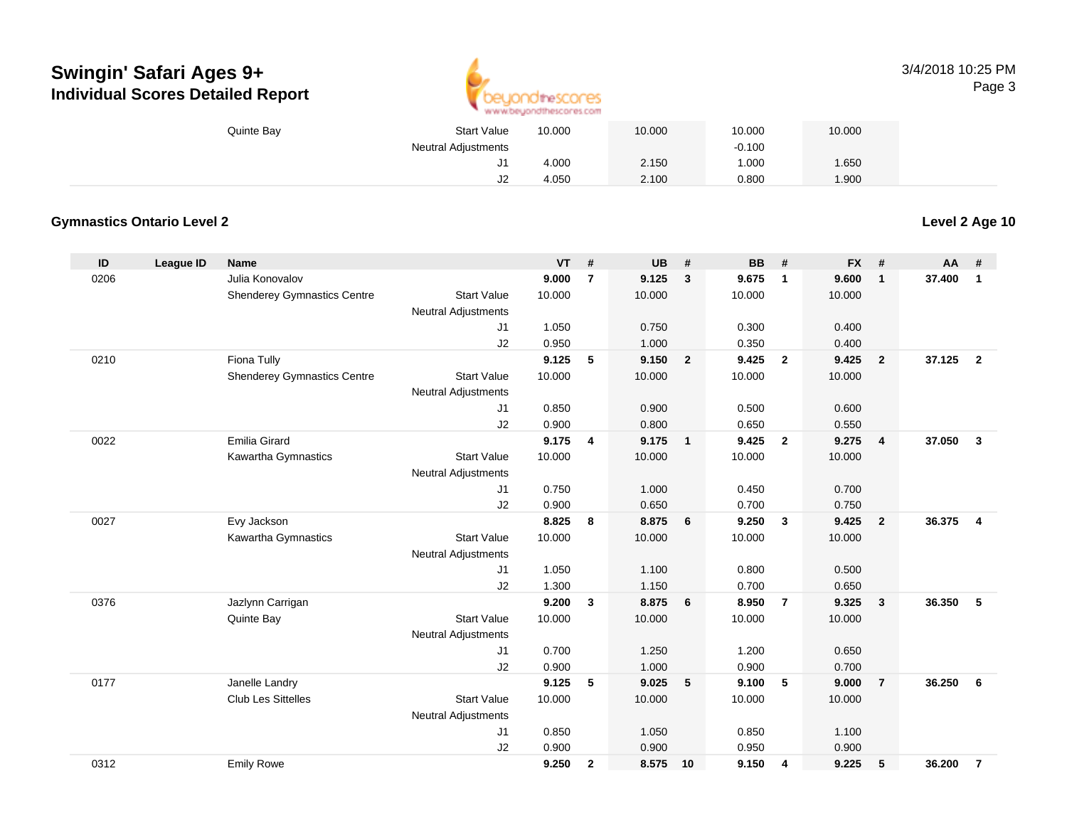

3/4/2018 10:25 PMPage 3

| Quinte Bay | <b>Start Value</b>         | 10.000 | 10.000 | 10.000   | 10.000 |  |
|------------|----------------------------|--------|--------|----------|--------|--|
|            | <b>Neutral Adjustments</b> |        |        | $-0.100$ |        |  |
|            | J1                         | 4.000  | 2.150  | 1.000    | 1.650  |  |
|            | J <sub>2</sub>             | 4.050  | 2.100  | 0.800    | 1.900  |  |

#### **Gymnastics Ontario Level 2**

| ID   | League ID | <b>Name</b>                        |                            | <b>VT</b> | #              | <b>UB</b> | #                       | BB     | #              | <b>FX</b> | #              | <b>AA</b> | #              |
|------|-----------|------------------------------------|----------------------------|-----------|----------------|-----------|-------------------------|--------|----------------|-----------|----------------|-----------|----------------|
| 0206 |           | Julia Konovalov                    |                            | 9.000     | $\overline{7}$ | 9.125     | $\mathbf{3}$            | 9.675  | $\mathbf{1}$   | 9.600     | $\mathbf{1}$   | 37.400    | $\mathbf{1}$   |
|      |           | Shenderey Gymnastics Centre        | <b>Start Value</b>         | 10.000    |                | 10.000    |                         | 10.000 |                | 10.000    |                |           |                |
|      |           |                                    | <b>Neutral Adjustments</b> |           |                |           |                         |        |                |           |                |           |                |
|      |           |                                    | J1                         | 1.050     |                | 0.750     |                         | 0.300  |                | 0.400     |                |           |                |
|      |           |                                    | J2                         | 0.950     |                | 1.000     |                         | 0.350  |                | 0.400     |                |           |                |
| 0210 |           | Fiona Tully                        |                            | 9.125     | 5              | 9.150     | $\overline{\mathbf{2}}$ | 9.425  | $\overline{2}$ | 9.425     | $\overline{2}$ | 37.125    | $\overline{2}$ |
|      |           | <b>Shenderey Gymnastics Centre</b> | <b>Start Value</b>         | 10.000    |                | 10.000    |                         | 10.000 |                | 10.000    |                |           |                |
|      |           |                                    | <b>Neutral Adjustments</b> |           |                |           |                         |        |                |           |                |           |                |
|      |           |                                    | J1                         | 0.850     |                | 0.900     |                         | 0.500  |                | 0.600     |                |           |                |
|      |           |                                    | J2                         | 0.900     |                | 0.800     |                         | 0.650  |                | 0.550     |                |           |                |
| 0022 |           | <b>Emilia Girard</b>               |                            | 9.175     | 4              | 9.175     | $\overline{1}$          | 9.425  | $\overline{2}$ | 9.275     | $\overline{4}$ | 37.050    | $\mathbf{3}$   |
|      |           | Kawartha Gymnastics                | <b>Start Value</b>         | 10.000    |                | 10.000    |                         | 10.000 |                | 10.000    |                |           |                |
|      |           |                                    | <b>Neutral Adjustments</b> |           |                |           |                         |        |                |           |                |           |                |
|      |           |                                    | J1                         | 0.750     |                | 1.000     |                         | 0.450  |                | 0.700     |                |           |                |
|      |           |                                    | J2                         | 0.900     |                | 0.650     |                         | 0.700  |                | 0.750     |                |           |                |
| 0027 |           | Evy Jackson                        |                            | 8.825     | 8              | 8.875     | 6                       | 9.250  | $\mathbf{3}$   | 9.425     | $\overline{2}$ | 36.375    | $\overline{4}$ |
|      |           | <b>Kawartha Gymnastics</b>         | <b>Start Value</b>         | 10.000    |                | 10.000    |                         | 10.000 |                | 10.000    |                |           |                |
|      |           |                                    | <b>Neutral Adjustments</b> |           |                |           |                         |        |                |           |                |           |                |
|      |           |                                    | J1                         | 1.050     |                | 1.100     |                         | 0.800  |                | 0.500     |                |           |                |
|      |           |                                    | J2                         | 1.300     |                | 1.150     |                         | 0.700  |                | 0.650     |                |           |                |
| 0376 |           | Jazlynn Carrigan                   |                            | 9.200     | 3              | 8.875     | 6                       | 8.950  | $\overline{7}$ | 9.325     | 3              | 36.350    | -5             |
|      |           | Quinte Bay                         | <b>Start Value</b>         | 10.000    |                | 10.000    |                         | 10.000 |                | 10.000    |                |           |                |
|      |           |                                    | <b>Neutral Adjustments</b> |           |                |           |                         |        |                |           |                |           |                |
|      |           |                                    | J1                         | 0.700     |                | 1.250     |                         | 1.200  |                | 0.650     |                |           |                |
|      |           |                                    | J2                         | 0.900     |                | 1.000     |                         | 0.900  |                | 0.700     |                |           |                |
| 0177 |           | Janelle Landry                     |                            | 9.125     | 5              | 9.025     | 5                       | 9.100  | 5              | 9.000     | $\overline{7}$ | 36.250    | 6              |
|      |           | <b>Club Les Sittelles</b>          | <b>Start Value</b>         | 10.000    |                | 10.000    |                         | 10.000 |                | 10.000    |                |           |                |
|      |           |                                    | Neutral Adjustments        |           |                |           |                         |        |                |           |                |           |                |
|      |           |                                    | J1                         | 0.850     |                | 1.050     |                         | 0.850  |                | 1.100     |                |           |                |
|      |           |                                    | J2                         | 0.900     |                | 0.900     |                         | 0.950  |                | 0.900     |                |           |                |
| 0312 |           | <b>Emily Rowe</b>                  |                            | 9.250     | $\mathbf{2}$   | 8.575     | 10                      | 9.150  | 4              | 9.225     | 5              | 36.200    | $\overline{7}$ |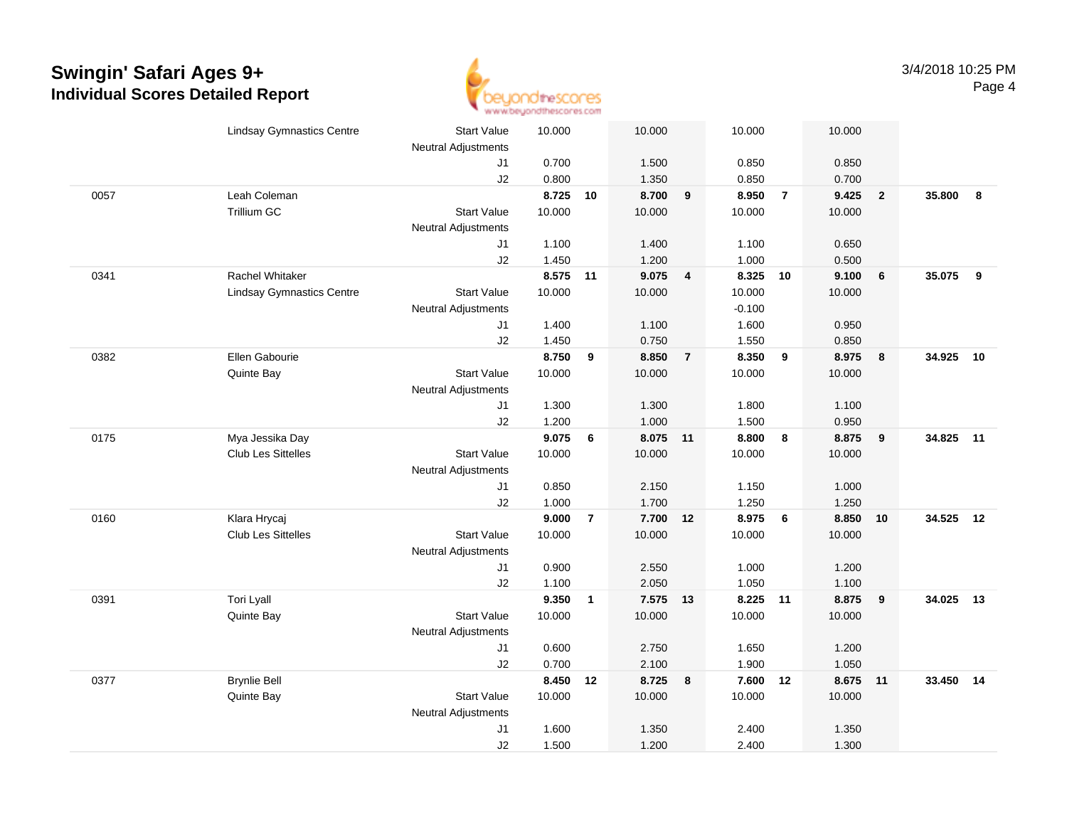

|      | <b>Lindsay Gymnastics Centre</b> | <b>Start Value</b>         | 10.000 |                | 10.000   |                  | 10.000   |                | 10.000 |                 |           |    |
|------|----------------------------------|----------------------------|--------|----------------|----------|------------------|----------|----------------|--------|-----------------|-----------|----|
|      |                                  | <b>Neutral Adjustments</b> |        |                |          |                  |          |                |        |                 |           |    |
|      |                                  | J1                         | 0.700  |                | 1.500    |                  | 0.850    |                | 0.850  |                 |           |    |
|      |                                  | J2                         | 0.800  |                | 1.350    |                  | 0.850    |                | 0.700  |                 |           |    |
| 0057 | Leah Coleman                     |                            | 8.725  | 10             | 8.700    | $\boldsymbol{9}$ | 8.950    | $\overline{7}$ | 9.425  | $\overline{2}$  | 35.800    | 8  |
|      | Trillium GC                      | <b>Start Value</b>         | 10.000 |                | 10.000   |                  | 10.000   |                | 10.000 |                 |           |    |
|      |                                  | <b>Neutral Adjustments</b> |        |                |          |                  |          |                |        |                 |           |    |
|      |                                  | J1                         | 1.100  |                | 1.400    |                  | 1.100    |                | 0.650  |                 |           |    |
|      |                                  | J2                         | 1.450  |                | 1.200    |                  | 1.000    |                | 0.500  |                 |           |    |
| 0341 | Rachel Whitaker                  |                            | 8.575  | 11             | 9.075    | 4                | 8.325    | 10             | 9.100  | $6\phantom{1}6$ | 35.075    | 9  |
|      | <b>Lindsay Gymnastics Centre</b> | <b>Start Value</b>         | 10.000 |                | 10.000   |                  | 10.000   |                | 10.000 |                 |           |    |
|      |                                  | <b>Neutral Adjustments</b> |        |                |          |                  | $-0.100$ |                |        |                 |           |    |
|      |                                  | J1                         | 1.400  |                | 1.100    |                  | 1.600    |                | 0.950  |                 |           |    |
|      |                                  | J2                         | 1.450  |                | 0.750    |                  | 1.550    |                | 0.850  |                 |           |    |
| 0382 | Ellen Gabourie                   |                            | 8.750  | 9              | 8.850    | $\overline{7}$   | 8.350    | 9              | 8.975  | 8               | 34.925    | 10 |
|      | Quinte Bay                       | <b>Start Value</b>         | 10.000 |                | 10.000   |                  | 10.000   |                | 10.000 |                 |           |    |
|      |                                  | <b>Neutral Adjustments</b> |        |                |          |                  |          |                |        |                 |           |    |
|      |                                  | J1                         | 1.300  |                | 1.300    |                  | 1.800    |                | 1.100  |                 |           |    |
|      |                                  | J2                         | 1.200  |                | 1.000    |                  | 1.500    |                | 0.950  |                 |           |    |
| 0175 | Mya Jessika Day                  |                            | 9.075  | 6              | 8.075 11 |                  | 8.800    | 8              | 8.875  | 9               | 34.825 11 |    |
|      | Club Les Sittelles               | <b>Start Value</b>         | 10.000 |                | 10.000   |                  | 10.000   |                | 10.000 |                 |           |    |
|      |                                  | <b>Neutral Adjustments</b> |        |                |          |                  |          |                |        |                 |           |    |
|      |                                  | J1                         | 0.850  |                | 2.150    |                  | 1.150    |                | 1.000  |                 |           |    |
|      |                                  | J2                         | 1.000  |                | 1.700    |                  | 1.250    |                | 1.250  |                 |           |    |
| 0160 | Klara Hrycaj                     |                            | 9.000  | $\overline{7}$ | 7.700 12 |                  | 8.975    | 6              | 8.850  | 10              | 34.525 12 |    |
|      | Club Les Sittelles               | <b>Start Value</b>         | 10.000 |                | 10.000   |                  | 10.000   |                | 10.000 |                 |           |    |
|      |                                  | Neutral Adjustments        |        |                |          |                  |          |                |        |                 |           |    |
|      |                                  | J1                         | 0.900  |                | 2.550    |                  | 1.000    |                | 1.200  |                 |           |    |
|      |                                  | J2                         | 1.100  |                | 2.050    |                  | 1.050    |                | 1.100  |                 |           |    |
| 0391 | Tori Lyall                       |                            | 9.350  | $\mathbf{1}$   | 7.575 13 |                  | 8.225    | 11             | 8.875  | 9               | 34.025    | 13 |
|      | Quinte Bay                       | <b>Start Value</b>         | 10.000 |                | 10.000   |                  | 10.000   |                | 10.000 |                 |           |    |
|      |                                  | <b>Neutral Adjustments</b> |        |                |          |                  |          |                |        |                 |           |    |
|      |                                  | J1                         | 0.600  |                | 2.750    |                  | 1.650    |                | 1.200  |                 |           |    |
|      |                                  | J2                         | 0.700  |                | 2.100    |                  | 1.900    |                | 1.050  |                 |           |    |
| 0377 | <b>Brynlie Bell</b>              |                            | 8.450  | 12             | 8.725    | 8                | 7.600    | 12             | 8.675  | 11              | 33.450    | 14 |
|      | Quinte Bay                       | <b>Start Value</b>         | 10.000 |                | 10.000   |                  | 10.000   |                | 10.000 |                 |           |    |
|      |                                  | <b>Neutral Adjustments</b> |        |                |          |                  |          |                |        |                 |           |    |
|      |                                  | J1                         | 1.600  |                | 1.350    |                  | 2.400    |                | 1.350  |                 |           |    |
|      |                                  | J2                         | 1.500  |                | 1.200    |                  | 2.400    |                | 1.300  |                 |           |    |
|      |                                  |                            |        |                |          |                  |          |                |        |                 |           |    |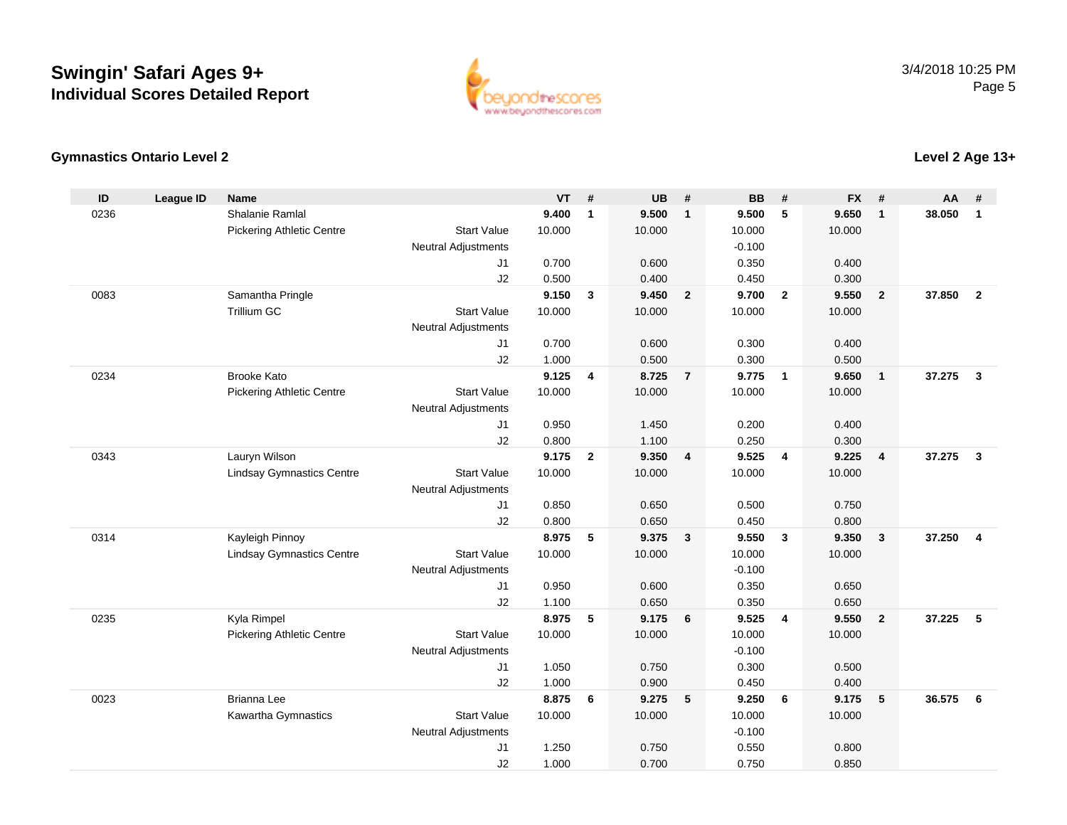

#### **Gymnastics Ontario Level 2**

| ID   | <b>League ID</b> | <b>Name</b>                      |                            | <b>VT</b>      | #              | <b>UB</b>      | #                       | <b>BB</b>      | #              | <b>FX</b>      | #              | AA     | #                       |
|------|------------------|----------------------------------|----------------------------|----------------|----------------|----------------|-------------------------|----------------|----------------|----------------|----------------|--------|-------------------------|
| 0236 |                  | <b>Shalanie Ramlal</b>           |                            | 9.400          | $\mathbf{1}$   | 9.500          | $\mathbf{1}$            | 9.500          | 5              | 9.650          | $\mathbf{1}$   | 38.050 | $\mathbf{1}$            |
|      |                  | <b>Pickering Athletic Centre</b> | <b>Start Value</b>         | 10.000         |                | 10.000         |                         | 10.000         |                | 10.000         |                |        |                         |
|      |                  |                                  | <b>Neutral Adjustments</b> |                |                |                |                         | $-0.100$       |                |                |                |        |                         |
|      |                  |                                  | J <sub>1</sub>             | 0.700          |                | 0.600          |                         | 0.350          |                | 0.400          |                |        |                         |
|      |                  |                                  | J2                         | 0.500          |                | 0.400          |                         | 0.450          |                | 0.300          |                |        |                         |
| 0083 |                  | Samantha Pringle                 |                            | 9.150          | 3              | 9.450          | $\overline{\mathbf{2}}$ | 9.700          | $\overline{2}$ | 9.550          | $\overline{2}$ | 37,850 | $\overline{2}$          |
|      |                  | <b>Trillium GC</b>               | <b>Start Value</b>         | 10.000         |                | 10.000         |                         | 10.000         |                | 10.000         |                |        |                         |
|      |                  |                                  | <b>Neutral Adjustments</b> |                |                |                |                         |                |                |                |                |        |                         |
|      |                  |                                  | J1                         | 0.700          |                | 0.600          |                         | 0.300          |                | 0.400          |                |        |                         |
|      |                  |                                  | J2                         | 1.000          |                | 0.500          |                         | 0.300          |                | 0.500          |                |        |                         |
| 0234 |                  | <b>Brooke Kato</b>               |                            | 9.125          | 4              | 8.725          | $\overline{7}$          | 9.775          | $\overline{1}$ | 9.650          | $\overline{1}$ | 37.275 | $\mathbf{3}$            |
|      |                  | <b>Pickering Athletic Centre</b> | <b>Start Value</b>         | 10.000         |                | 10.000         |                         | 10.000         |                | 10.000         |                |        |                         |
|      |                  |                                  | <b>Neutral Adjustments</b> |                |                |                |                         |                |                |                |                |        |                         |
|      |                  |                                  | J1                         | 0.950          |                | 1.450          |                         | 0.200          |                | 0.400          |                |        |                         |
|      |                  |                                  | J2                         | 0.800          |                | 1.100          |                         | 0.250          |                | 0.300          |                |        |                         |
| 0343 |                  | Lauryn Wilson                    |                            | 9.175          | $\overline{2}$ | 9.350          | $\overline{4}$          | 9.525          | $\overline{4}$ | 9.225          | $\overline{4}$ | 37.275 | $\overline{\mathbf{3}}$ |
|      |                  | <b>Lindsay Gymnastics Centre</b> | <b>Start Value</b>         | 10.000         |                | 10.000         |                         | 10.000         |                | 10.000         |                |        |                         |
|      |                  |                                  | <b>Neutral Adjustments</b> |                |                |                |                         |                |                |                |                |        |                         |
|      |                  |                                  | J <sub>1</sub>             | 0.850          |                | 0.650          |                         | 0.500          |                | 0.750          |                |        |                         |
|      |                  |                                  | J2                         | 0.800          |                | 0.650          |                         | 0.450          |                | 0.800          |                |        |                         |
| 0314 |                  | Kayleigh Pinnoy                  |                            | 8.975          | 5              | 9.375          | $\overline{\mathbf{3}}$ | 9.550          | $\mathbf{3}$   | 9.350          | $\mathbf{3}$   | 37.250 | $\overline{\mathbf{4}}$ |
|      |                  | <b>Lindsay Gymnastics Centre</b> | <b>Start Value</b>         | 10.000         |                | 10.000         |                         | 10.000         |                | 10.000         |                |        |                         |
|      |                  |                                  | <b>Neutral Adjustments</b> |                |                |                |                         | $-0.100$       |                |                |                |        |                         |
|      |                  |                                  | J1                         | 0.950          |                | 0.600          |                         | 0.350          |                | 0.650          |                |        |                         |
| 0235 |                  | Kyla Rimpel                      | J2                         | 1.100<br>8.975 | 5              | 0.650<br>9.175 | 6                       | 0.350<br>9.525 | $\overline{4}$ | 0.650<br>9.550 | $\overline{2}$ | 37.225 | 5                       |
|      |                  |                                  | <b>Start Value</b>         | 10.000         |                | 10.000         |                         | 10.000         |                | 10.000         |                |        |                         |
|      |                  | <b>Pickering Athletic Centre</b> | <b>Neutral Adjustments</b> |                |                |                |                         | $-0.100$       |                |                |                |        |                         |
|      |                  |                                  | J1                         | 1.050          |                | 0.750          |                         | 0.300          |                | 0.500          |                |        |                         |
|      |                  |                                  | J2                         | 1.000          |                | 0.900          |                         | 0.450          |                | 0.400          |                |        |                         |
| 0023 |                  | <b>Brianna Lee</b>               |                            | 8.875          | 6              | 9.275          | $-5$                    | 9.250          | 6              | 9.175          | 5              | 36.575 | 6                       |
|      |                  | Kawartha Gymnastics              | <b>Start Value</b>         | 10.000         |                | 10.000         |                         | 10.000         |                | 10.000         |                |        |                         |
|      |                  |                                  | <b>Neutral Adjustments</b> |                |                |                |                         | $-0.100$       |                |                |                |        |                         |
|      |                  |                                  | J1                         | 1.250          |                | 0.750          |                         | 0.550          |                | 0.800          |                |        |                         |
|      |                  |                                  | J2                         | 1.000          |                | 0.700          |                         | 0.750          |                | 0.850          |                |        |                         |
|      |                  |                                  |                            |                |                |                |                         |                |                |                |                |        |                         |

**Level 2 Age 13+**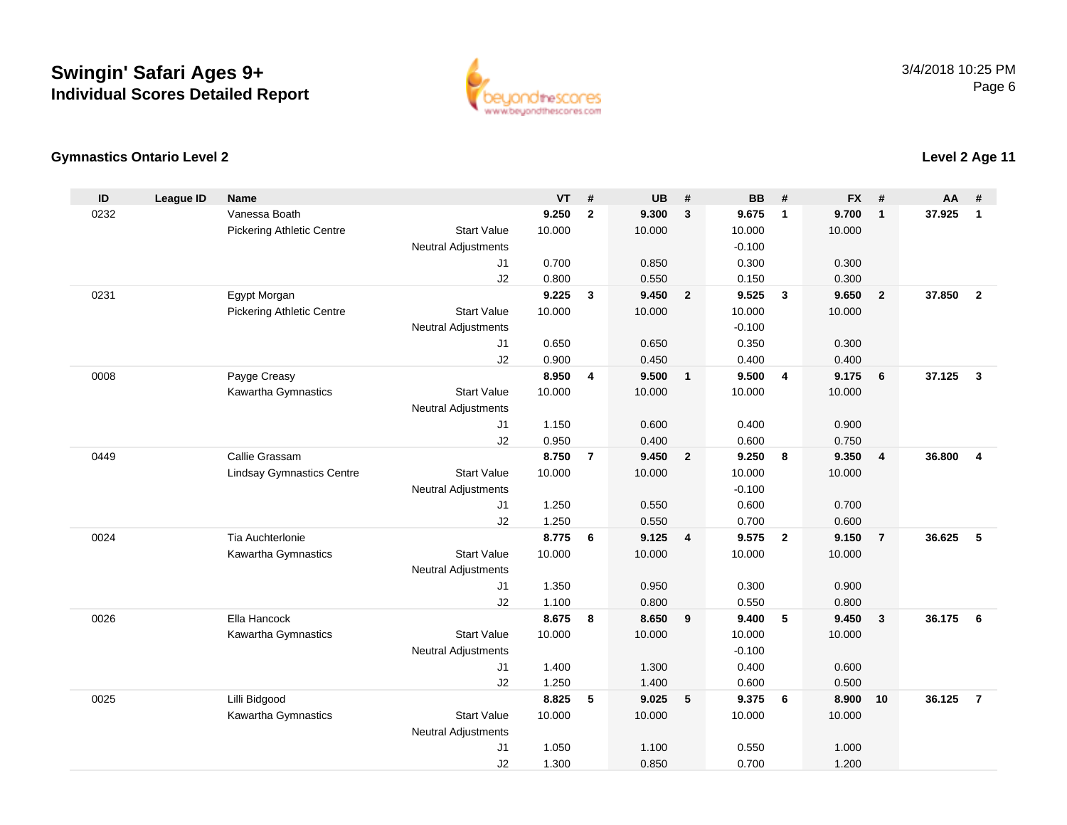

### **Gymnastics Ontario Level 2**

| ID   | <b>League ID</b> | <b>Name</b>                         |                                  | <b>VT</b>       | #              | <b>UB</b>       | #                       | <b>BB</b>       | #                       | <b>FX</b>       | #                       | <b>AA</b> | #              |
|------|------------------|-------------------------------------|----------------------------------|-----------------|----------------|-----------------|-------------------------|-----------------|-------------------------|-----------------|-------------------------|-----------|----------------|
| 0232 |                  | Vanessa Boath                       |                                  | 9.250           | $\overline{2}$ | 9.300           | $\mathbf{3}$            | 9.675           | $\overline{1}$          | 9.700           | $\mathbf{1}$            | 37.925    | $\mathbf{1}$   |
|      |                  | <b>Pickering Athletic Centre</b>    | <b>Start Value</b>               | 10.000          |                | 10.000          |                         | 10.000          |                         | 10.000          |                         |           |                |
|      |                  |                                     | <b>Neutral Adjustments</b>       |                 |                |                 |                         | $-0.100$        |                         |                 |                         |           |                |
|      |                  |                                     | J <sub>1</sub>                   | 0.700           |                | 0.850           |                         | 0.300           |                         | 0.300           |                         |           |                |
|      |                  |                                     | J2                               | 0.800           |                | 0.550           |                         | 0.150           |                         | 0.300           |                         |           |                |
| 0231 |                  | Egypt Morgan                        |                                  | 9.225           | 3              | 9.450           | $\overline{\mathbf{2}}$ | 9.525           | $\overline{\mathbf{3}}$ | 9.650           | $\overline{2}$          | 37.850    | $\overline{2}$ |
|      |                  | <b>Pickering Athletic Centre</b>    | <b>Start Value</b>               | 10.000          |                | 10.000          |                         | 10.000          |                         | 10.000          |                         |           |                |
|      |                  |                                     | <b>Neutral Adjustments</b>       |                 |                |                 |                         | $-0.100$        |                         |                 |                         |           |                |
|      |                  |                                     | J1                               | 0.650           |                | 0.650           |                         | 0.350           |                         | 0.300           |                         |           |                |
|      |                  |                                     | J2                               | 0.900           |                | 0.450           |                         | 0.400           |                         | 0.400           |                         |           |                |
| 0008 |                  | Payge Creasy<br>Kawartha Gymnastics | <b>Start Value</b>               | 8.950<br>10.000 | 4              | 9.500<br>10.000 | $\overline{\mathbf{1}}$ | 9.500<br>10.000 | $\overline{4}$          | 9.175<br>10.000 | 6                       | 37.125    | $\mathbf{3}$   |
|      |                  |                                     | Neutral Adjustments              |                 |                |                 |                         |                 |                         |                 |                         |           |                |
|      |                  |                                     | J1                               | 1.150           |                | 0.600           |                         | 0.400           |                         | 0.900           |                         |           |                |
|      |                  |                                     | J2                               | 0.950           |                | 0.400           |                         | 0.600           |                         | 0.750           |                         |           |                |
| 0449 |                  | Callie Grassam                      |                                  | 8.750           | $\overline{7}$ | 9.450           | $\overline{\mathbf{2}}$ | 9.250           | 8                       | 9.350           | $\overline{\mathbf{4}}$ | 36.800    | $\overline{4}$ |
|      |                  | <b>Lindsay Gymnastics Centre</b>    | <b>Start Value</b>               | 10.000          |                | 10.000          |                         | 10.000          |                         | 10.000          |                         |           |                |
|      |                  |                                     | <b>Neutral Adjustments</b>       |                 |                |                 |                         | $-0.100$        |                         |                 |                         |           |                |
|      |                  |                                     | J1                               | 1.250           |                | 0.550           |                         | 0.600           |                         | 0.700           |                         |           |                |
|      |                  |                                     | J2                               | 1.250           |                | 0.550           |                         | 0.700           |                         | 0.600           |                         |           |                |
| 0024 |                  | Tia Auchterlonie                    |                                  | 8.775           | 6              | 9.125           | $\overline{\mathbf{4}}$ | 9.575           | $\overline{2}$          | 9.150           | $\overline{7}$          | 36.625    | 5              |
|      |                  | Kawartha Gymnastics                 | <b>Start Value</b>               | 10.000          |                | 10.000          |                         | 10.000          |                         | 10.000          |                         |           |                |
|      |                  |                                     | <b>Neutral Adjustments</b>       |                 |                |                 |                         |                 |                         |                 |                         |           |                |
|      |                  |                                     | J1                               | 1.350           |                | 0.950           |                         | 0.300           |                         | 0.900           |                         |           |                |
|      |                  |                                     | J2                               | 1.100           |                | 0.800           |                         | 0.550           |                         | 0.800           |                         |           |                |
| 0026 |                  | Ella Hancock                        |                                  | 8.675           | 8              | 8.650           | 9                       | 9.400           | 5                       | 9.450           | 3                       | 36.175    | 6              |
|      |                  | Kawartha Gymnastics                 | <b>Start Value</b>               | 10.000          |                | 10.000          |                         | 10.000          |                         | 10.000          |                         |           |                |
|      |                  |                                     | <b>Neutral Adjustments</b>       |                 |                |                 |                         | $-0.100$        |                         |                 |                         |           |                |
|      |                  |                                     | J1                               | 1.400           |                | 1.300           |                         | 0.400           |                         | 0.600           |                         |           |                |
|      |                  |                                     | J2                               | 1.250           |                | 1.400           |                         | 0.600           |                         | 0.500           |                         |           |                |
| 0025 |                  | Lilli Bidgood                       |                                  | 8.825           | 5              | 9.025           | 5                       | 9.375           | 6                       | 8.900           | 10                      | 36.125    | $\overline{7}$ |
|      |                  | Kawartha Gymnastics                 | <b>Start Value</b>               | 10.000          |                | 10.000          |                         | 10.000          |                         | 10.000          |                         |           |                |
|      |                  |                                     | <b>Neutral Adjustments</b><br>J1 | 1.050           |                | 1.100           |                         | 0.550           |                         | 1.000           |                         |           |                |
|      |                  |                                     | J2                               | 1.300           |                | 0.850           |                         | 0.700           |                         | 1.200           |                         |           |                |
|      |                  |                                     |                                  |                 |                |                 |                         |                 |                         |                 |                         |           |                |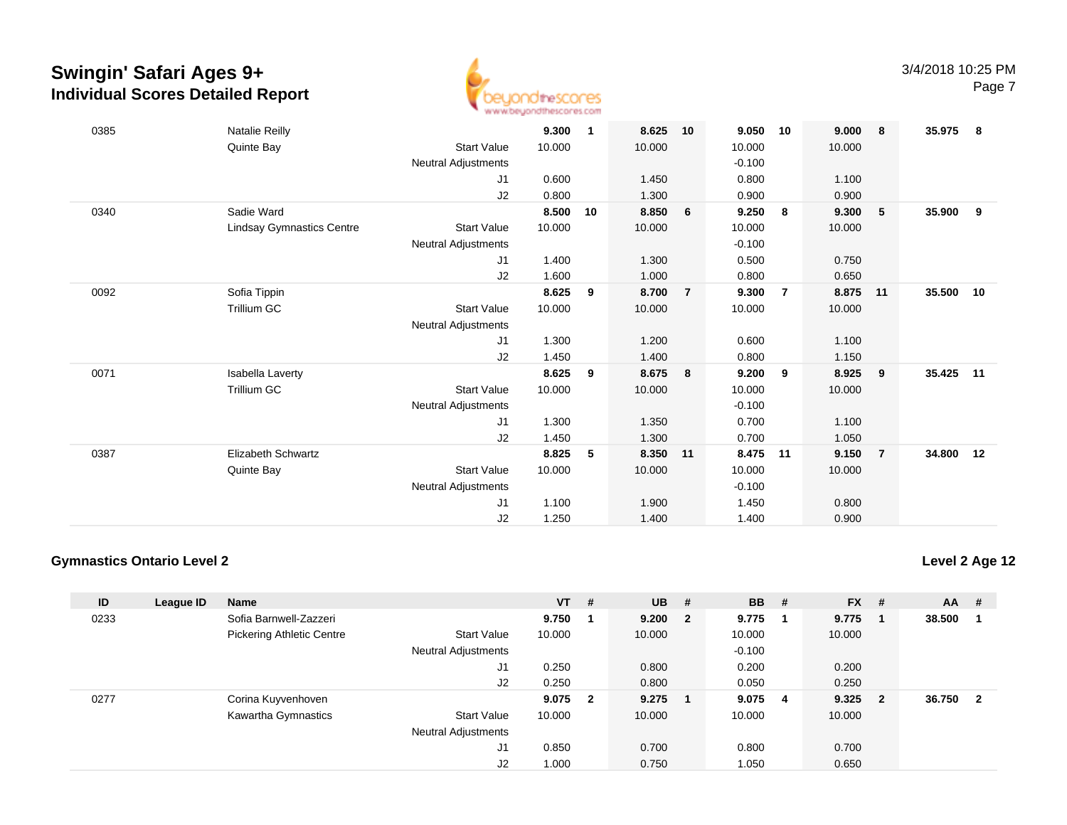

| 0385 | <b>Natalie Reilly</b>            |                            | 9.300  | 1  | 8.625  | 10             | 9.050    | 10             | 9.000  | 8              | 35.975 | 8  |
|------|----------------------------------|----------------------------|--------|----|--------|----------------|----------|----------------|--------|----------------|--------|----|
|      |                                  | <b>Start Value</b>         | 10.000 |    | 10.000 |                | 10.000   |                | 10.000 |                |        |    |
|      | Quinte Bay                       |                            |        |    |        |                |          |                |        |                |        |    |
|      |                                  | <b>Neutral Adjustments</b> |        |    |        |                | $-0.100$ |                |        |                |        |    |
|      |                                  | J1                         | 0.600  |    | 1.450  |                | 0.800    |                | 1.100  |                |        |    |
|      |                                  | J2                         | 0.800  |    | 1.300  |                | 0.900    |                | 0.900  |                |        |    |
| 0340 | Sadie Ward                       |                            | 8.500  | 10 | 8.850  | 6              | 9.250    | - 8            | 9.300  | 5              | 35.900 | 9  |
|      | <b>Lindsay Gymnastics Centre</b> | <b>Start Value</b>         | 10.000 |    | 10.000 |                | 10.000   |                | 10.000 |                |        |    |
|      |                                  | <b>Neutral Adjustments</b> |        |    |        |                | $-0.100$ |                |        |                |        |    |
|      |                                  | J1                         | 1.400  |    | 1.300  |                | 0.500    |                | 0.750  |                |        |    |
|      |                                  | J2                         | 1.600  |    | 1.000  |                | 0.800    |                | 0.650  |                |        |    |
| 0092 | Sofia Tippin                     |                            | 8.625  | 9  | 8.700  | $\overline{7}$ | 9.300    | $\overline{7}$ | 8.875  | 11             | 35.500 | 10 |
|      | <b>Trillium GC</b>               | <b>Start Value</b>         | 10.000 |    | 10.000 |                | 10.000   |                | 10.000 |                |        |    |
|      |                                  | <b>Neutral Adjustments</b> |        |    |        |                |          |                |        |                |        |    |
|      |                                  | J1                         | 1.300  |    | 1.200  |                | 0.600    |                | 1.100  |                |        |    |
|      |                                  | J2                         | 1.450  |    | 1.400  |                | 0.800    |                | 1.150  |                |        |    |
| 0071 | Isabella Laverty                 |                            | 8.625  | 9  | 8.675  | 8              | 9.200    | 9              | 8.925  | - 9            | 35.425 | 11 |
|      | Trillium GC                      | <b>Start Value</b>         | 10.000 |    | 10.000 |                | 10.000   |                | 10.000 |                |        |    |
|      |                                  | <b>Neutral Adjustments</b> |        |    |        |                | $-0.100$ |                |        |                |        |    |
|      |                                  | J1                         | 1.300  |    | 1.350  |                | 0.700    |                | 1.100  |                |        |    |
|      |                                  |                            |        |    |        |                |          |                |        |                |        |    |
|      |                                  | J2                         | 1.450  |    | 1.300  |                | 0.700    |                | 1.050  |                |        |    |
| 0387 | <b>Elizabeth Schwartz</b>        |                            | 8.825  | 5  | 8.350  | $-11$          | 8.475    | 11             | 9.150  | $\overline{7}$ | 34.800 | 12 |
|      | Quinte Bay                       | <b>Start Value</b>         | 10.000 |    | 10.000 |                | 10.000   |                | 10.000 |                |        |    |
|      |                                  | <b>Neutral Adjustments</b> |        |    |        |                | $-0.100$ |                |        |                |        |    |
|      |                                  | J1                         | 1.100  |    | 1.900  |                | 1.450    |                | 0.800  |                |        |    |
|      |                                  | J2                         | 1.250  |    | 1.400  |                | 1.400    |                | 0.900  |                |        |    |

#### **Gymnastics Ontario Level 2**

| ID   | League ID | Name                             |                            | <b>VT</b> | - #                     | <b>UB</b> | #                       | <b>BB</b> | # | <b>FX</b> | #              | <b>AA</b> | #           |
|------|-----------|----------------------------------|----------------------------|-----------|-------------------------|-----------|-------------------------|-----------|---|-----------|----------------|-----------|-------------|
| 0233 |           | Sofia Barnwell-Zazzeri           |                            | 9.750     |                         | 9.200     | $\overline{\mathbf{2}}$ | 9.775     |   | 9.775     |                | 38.500    |             |
|      |           | <b>Pickering Athletic Centre</b> | <b>Start Value</b>         | 10.000    |                         | 10.000    |                         | 10.000    |   | 10.000    |                |           |             |
|      |           |                                  | <b>Neutral Adjustments</b> |           |                         |           |                         | $-0.100$  |   |           |                |           |             |
|      |           |                                  | J1                         | 0.250     |                         | 0.800     |                         | 0.200     |   | 0.200     |                |           |             |
|      |           |                                  | J2                         | 0.250     |                         | 0.800     |                         | 0.050     |   | 0.250     |                |           |             |
| 0277 |           | Corina Kuyvenhoven               |                            | 9.075     | $\overline{\mathbf{2}}$ | 9.275     |                         | 9.075     | 4 | 9.325     | $\overline{2}$ | 36.750    | $\mathbf 2$ |
|      |           | Kawartha Gymnastics              | <b>Start Value</b>         | 10.000    |                         | 10.000    |                         | 10.000    |   | 10.000    |                |           |             |
|      |           |                                  | <b>Neutral Adjustments</b> |           |                         |           |                         |           |   |           |                |           |             |
|      |           |                                  | J1                         | 0.850     |                         | 0.700     |                         | 0.800     |   | 0.700     |                |           |             |
|      |           |                                  | J2                         | 1.000     |                         | 0.750     |                         | 1.050     |   | 0.650     |                |           |             |